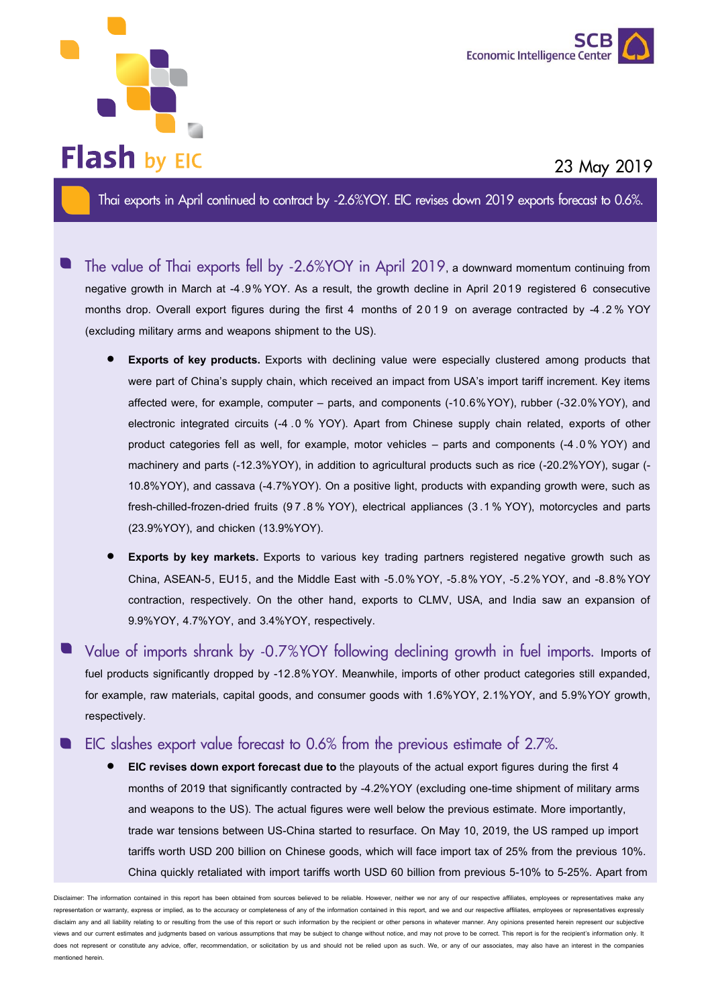



## **23 May 2019**

**Thai exports in April continued to contract by -2.6%YOY. EIC revises down 2019 exports forecast to 0.6%.**

- **The value of Thai exports fell by -2.6%YOY in April 2019**, a downward momentum continuing from negative growth in March at -4.9%YOY. As a result, the growth decline in April 2019 registered 6 consecutive months drop. Overall export figures during the first 4 months of 2019 on average contracted by -4 .2 % YOY (excluding military arms and weapons shipment to the US).
	- **Exports of key products.** Exports with declining value were especially clustered among products that were part of China's supply chain, which received an impact from USA's import tariff increment. Key items affected were, for example, computer – parts, and components (-10.6%YOY), rubber (-32.0%YOY), and electronic integrated circuits (-4 .0 % YOY). Apart from Chinese supply chain related, exports of other product categories fell as well, for example, motor vehicles – parts and components (-4 .0 % YOY) and machinery and parts (-12.3%YOY), in addition to agricultural products such as rice (-20.2%YOY), sugar (- 10.8%YOY), and cassava (-4.7%YOY). On a positive light, products with expanding growth were, such as fresh-chilled-frozen-dried fruits (9 7 .8 % YOY), electrical appliances (3 .1 % YOY), motorcycles and parts (23.9%YOY), and chicken (13.9%YOY).
	- **Exports by key markets.** Exports to various key trading partners registered negative growth such as China, ASEAN-5, EU15, and the Middle East with -5.0%YOY, -5.8%YOY, -5.2%YOY, and -8.8%YOY contraction, respectively. On the other hand, exports to CLMV, USA, and India saw an expansion of 9.9%YOY, 4.7%YOY, and 3.4%YOY, respectively.
- **Value of imports shrank by -0.7%YOY following declining growth in fuel imports.** Imports of fuel products significantly dropped by -12.8%YOY. Meanwhile, imports of other product categories still expanded, for example, raw materials, capital goods, and consumer goods with 1.6%YOY, 2.1%YOY, and 5.9%YOY growth, respectively.
- **EIC slashes export value forecast to 0.6% from the previous estimate of 2.7%.**
	- **EIC revises down export forecast due to** the playouts of the actual export figures during the first 4 months of 2019 that significantly contracted by -4.2%YOY (excluding one-time shipment of military arms and weapons to the US). The actual figures were well below the previous estimate. More importantly, trade war tensions between US-China started to resurface. On May 10, 2019, the US ramped up import tariffs worth USD 200 billion on Chinese goods, which will face import tax of 25% from the previous 10%. China quickly retaliated with import tariffs worth USD 60 billion from previous 5-10% to 5-25%. Apart from

er: The information contained in this report has been obtained from sources believed to be reliable. However, neither we nor any of our respective affiliates, employees or repre representation or warranty, express or implied, as to the accuracy or completeness of any of the information contained in this report, and we and our respective affiliates, employees or representatives expressly disclaim any and all liability relating to or resulting from the use of this report or such information by the recipient or other persons in whatever manner. Any opinions presented herein represent our subjective views and our current estimates and judgments based on various assumptions that may be subject to change without notice, and may not prove to be correct. This report is for the recipient's information only. It does not represent or constitute any advice, offer, recommendation, or solicitation by us and should not be relied upon as such. We, or any of our associates, may also have an interest in the companies mentioned herein.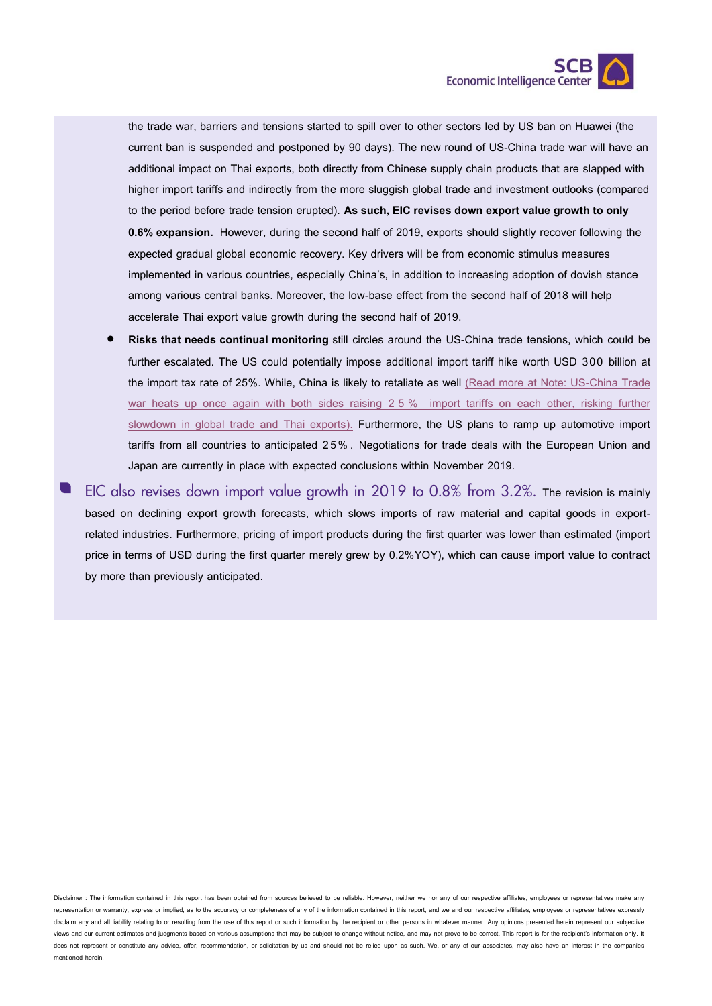

the trade war, barriers and tensions started to spill over to other sectors led by US ban on Huawei (the current ban is suspended and postponed by 90 days). The new round of US-China trade war will have an additional impact on Thai exports, both directly from Chinese supply chain products that are slapped with higher import tariffs and indirectly from the more sluggish global trade and investment outlooks (compared to the period before trade tension erupted). **As such, EIC revises down export value growth to only 0.6% expansion.** However, during the second half of 2019, exports should slightly recover following the expected gradual global economic recovery. Key drivers will be from economic stimulus measures implemented in various countries, especially China's, in addition to increasing adoption of dovish stance among various central banks. Moreover, the low-base effect from the second half of 2018 will help accelerate Thai export value growth during the second half of 2019.

• **Risks that needs continual monitoring** still circles around the US-China trade tensions, which could be further escalated. The US could potentially impose additional import tariff hike worth USD 300 billion at the import tax rate of 25%. While, China is likely to retaliate as well [\(Read more at Note: US-China Trade](https://www.scbeic.com/en/detail/product/6027)  [war heats up once again with both sides raising](https://www.scbeic.com/en/detail/product/6027) 2 5 % import tariffs on each other, risking further [slowdown in global trade and Thai exports\).](https://www.scbeic.com/en/detail/product/6027) Furthermore, the US plans to ramp up automotive import tariffs from all countries to anticipated 25% . Negotiations for trade deals with the European Union and Japan are currently in place with expected conclusions within November 2019.

**EIC also revises down import value growth in 2019 to 0.8% from 3.2%.** The revision is mainly based on declining export growth forecasts, which slows imports of raw material and capital goods in exportrelated industries. Furthermore, pricing of import products during the first quarter was lower than estimated (import price in terms of USD during the first quarter merely grew by 0.2%YOY), which can cause import value to contract by more than previously anticipated.

Disclaimer : The information contained in this report has been obtained from sources believed to be reliable. However, neither we nor any of our respective affiliates, employees or representatives make any representation or warranty, express or implied, as to the accuracy or completeness of any of the information contained in this report, and we and our respective affiliates, employees or representatives expressly disclaim any and all liability relating to or resulting from the use of this report or such information by the recipient or other persons in whatever manner. Any opinions presented herein represent our subjective views and our current estimates and judgments based on various assumptions that may be subject to change without notice, and may not prove to be correct. This report is for the recipient's information only. It does not represent or constitute any advice, offer, recommendation, or solicitation by us and should not be relied upon as such. We, or any of our associates, may also have an interest in the companies mentioned herein.